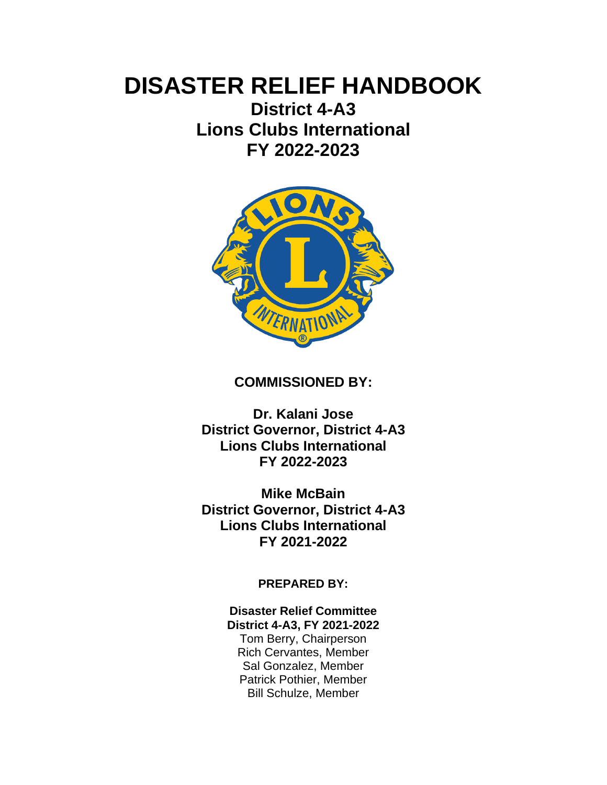# **DISASTER RELIEF HANDBOOK**

**District 4-A3 Lions Clubs International FY 2022-2023**



## **COMMISSIONED BY:**

**Dr. Kalani Jose District Governor, District 4-A3 Lions Clubs International FY 2022-2023**

**Mike McBain District Governor, District 4-A3 Lions Clubs International FY 2021-2022**

**PREPARED BY:**

**Disaster Relief Committee District 4-A3, FY 2021-2022**

Tom Berry, Chairperson Rich Cervantes, Member Sal Gonzalez, Member Patrick Pothier, Member Bill Schulze, Member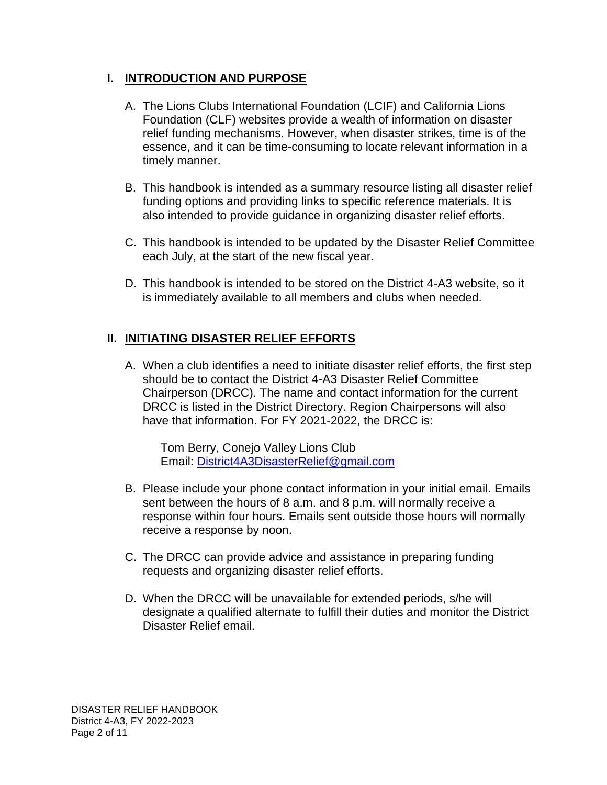## **I. INTRODUCTION AND PURPOSE**

- A. The Lions Clubs International Foundation (LCIF) and California Lions Foundation (CLF) websites provide a wealth of information on disaster relief funding mechanisms. However, when disaster strikes, time is of the essence, and it can be time-consuming to locate relevant information in a timely manner.
- B. This handbook is intended as a summary resource listing all disaster relief funding options and providing links to specific reference materials. It is also intended to provide guidance in organizing disaster relief efforts.
- C. This handbook is intended to be updated by the Disaster Relief Committee each July, at the start of the new fiscal year.
- D. This handbook is intended to be stored on the District 4-A3 website, so it is immediately available to all members and clubs when needed.

# **II. INITIATING DISASTER RELIEF EFFORTS**

A. When a club identifies a need to initiate disaster relief efforts, the first step should be to contact the District 4-A3 Disaster Relief Committee Chairperson (DRCC). The name and contact information for the current DRCC is listed in the District Directory. Region Chairpersons will also have that information. For FY 2021-2022, the DRCC is:

Tom Berry, Conejo Valley Lions Club Email: [District4A3DisasterRelief@gmail.com](mailto:District4A3DisasterRelief@gmail.com)

- B. Please include your phone contact information in your initial email. Emails sent between the hours of 8 a.m. and 8 p.m. will normally receive a response within four hours. Emails sent outside those hours will normally receive a response by noon.
- C. The DRCC can provide advice and assistance in preparing funding requests and organizing disaster relief efforts.
- D. When the DRCC will be unavailable for extended periods, s/he will designate a qualified alternate to fulfill their duties and monitor the District Disaster Relief email.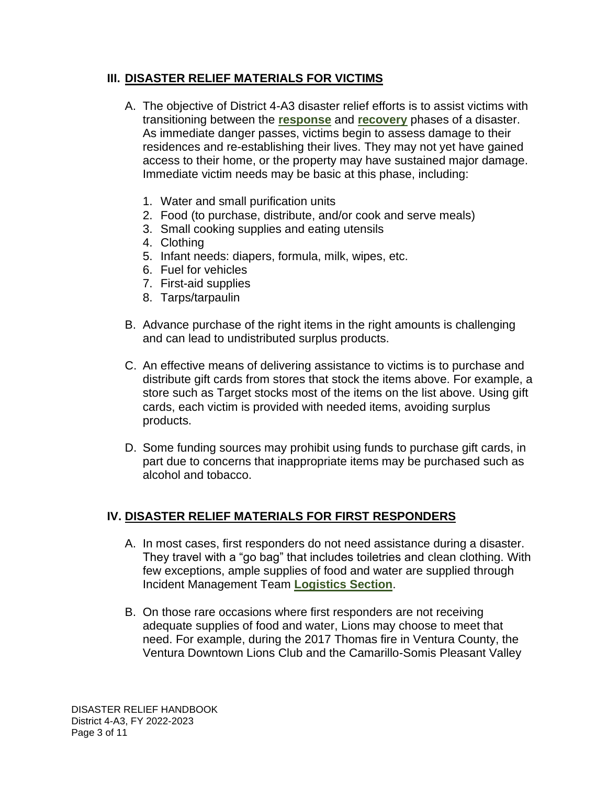## **III. DISASTER RELIEF MATERIALS FOR VICTIMS**

- A. The objective of District 4-A3 disaster relief efforts is to assist victims with transitioning between the **[response](#page-8-0)** and **[recovery](#page-8-1)** phases of a disaster. As immediate danger passes, victims begin to assess damage to their residences and re-establishing their lives. They may not yet have gained access to their home, or the property may have sustained major damage. Immediate victim needs may be basic at this phase, including:
	- 1. Water and small purification units
	- 2. Food (to purchase, distribute, and/or cook and serve meals)
	- 3. Small cooking supplies and eating utensils
	- 4. Clothing
	- 5. Infant needs: diapers, formula, milk, wipes, etc.
	- 6. Fuel for vehicles
	- 7. First-aid supplies
	- 8. Tarps/tarpaulin
- B. Advance purchase of the right items in the right amounts is challenging and can lead to undistributed surplus products.
- C. An effective means of delivering assistance to victims is to purchase and distribute gift cards from stores that stock the items above. For example, a store such as Target stocks most of the items on the list above. Using gift cards, each victim is provided with needed items, avoiding surplus products.
- D. Some funding sources may prohibit using funds to purchase gift cards, in part due to concerns that inappropriate items may be purchased such as alcohol and tobacco.

## **IV. DISASTER RELIEF MATERIALS FOR FIRST RESPONDERS**

- A. In most cases, first responders do not need assistance during a disaster. They travel with a "go bag" that includes toiletries and clean clothing. With few exceptions, ample supplies of food and water are supplied through Incident Management Team **[Logistics Section](#page-9-0)**.
- B. On those rare occasions where first responders are not receiving adequate supplies of food and water, Lions may choose to meet that need. For example, during the 2017 Thomas fire in Ventura County, the Ventura Downtown Lions Club and the Camarillo-Somis Pleasant Valley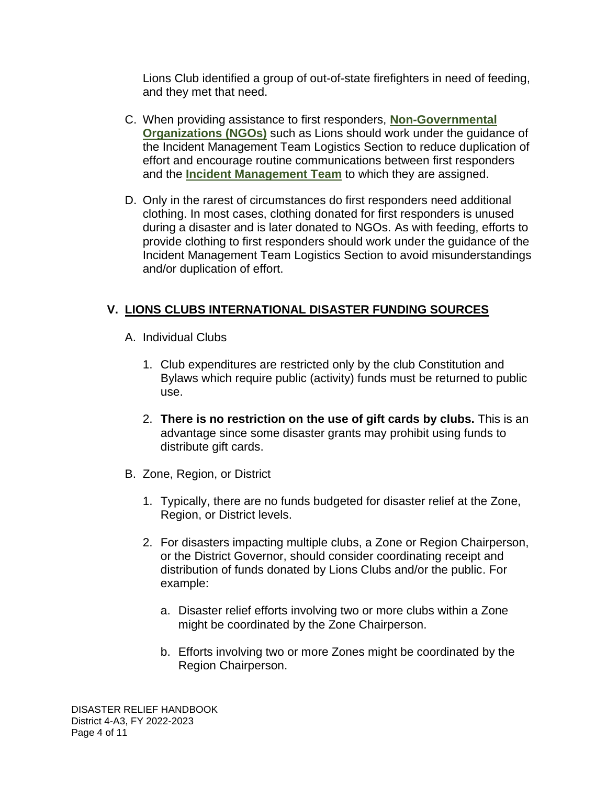Lions Club identified a group of out-of-state firefighters in need of feeding, and they met that need.

- C. When providing assistance to first responders, **[Non-Governmental](#page-9-1)  [Organizations \(NGOs\)](#page-9-1)** such as Lions should work under the guidance of the Incident Management Team Logistics Section to reduce duplication of effort and encourage routine communications between first responders and the **[Incident Management](#page-9-2) Team** to which they are assigned.
- D. Only in the rarest of circumstances do first responders need additional clothing. In most cases, clothing donated for first responders is unused during a disaster and is later donated to NGOs. As with feeding, efforts to provide clothing to first responders should work under the guidance of the Incident Management Team Logistics Section to avoid misunderstandings and/or duplication of effort.

# **V. LIONS CLUBS INTERNATIONAL DISASTER FUNDING SOURCES**

- A. Individual Clubs
	- 1. Club expenditures are restricted only by the club Constitution and Bylaws which require public (activity) funds must be returned to public use.
	- 2. **There is no restriction on the use of gift cards by clubs.** This is an advantage since some disaster grants may prohibit using funds to distribute gift cards.
- B. Zone, Region, or District
	- 1. Typically, there are no funds budgeted for disaster relief at the Zone, Region, or District levels.
	- 2. For disasters impacting multiple clubs, a Zone or Region Chairperson, or the District Governor, should consider coordinating receipt and distribution of funds donated by Lions Clubs and/or the public. For example:
		- a. Disaster relief efforts involving two or more clubs within a Zone might be coordinated by the Zone Chairperson.
		- b. Efforts involving two or more Zones might be coordinated by the Region Chairperson.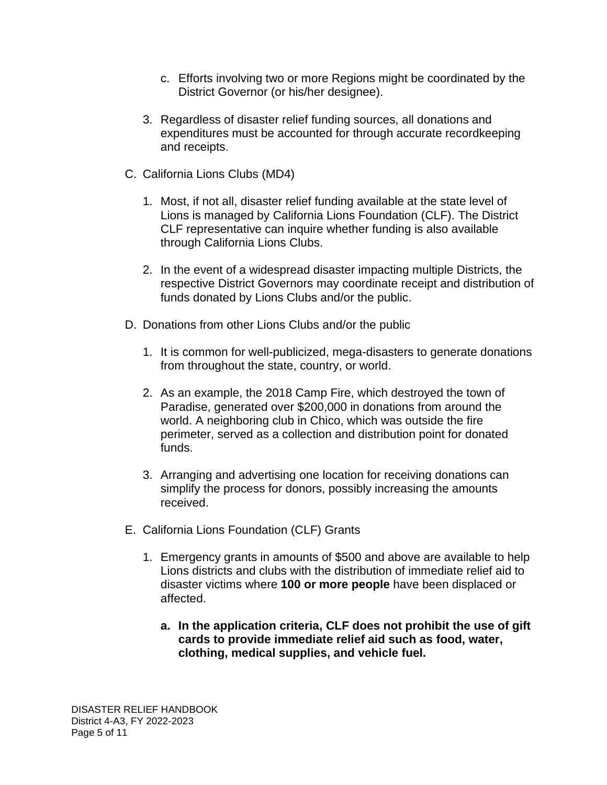- c. Efforts involving two or more Regions might be coordinated by the District Governor (or his/her designee).
- 3. Regardless of disaster relief funding sources, all donations and expenditures must be accounted for through accurate recordkeeping and receipts.
- C. California Lions Clubs (MD4)
	- 1. Most, if not all, disaster relief funding available at the state level of Lions is managed by California Lions Foundation (CLF). The District CLF representative can inquire whether funding is also available through California Lions Clubs.
	- 2. In the event of a widespread disaster impacting multiple Districts, the respective District Governors may coordinate receipt and distribution of funds donated by Lions Clubs and/or the public.
- D. Donations from other Lions Clubs and/or the public
	- 1. It is common for well-publicized, mega-disasters to generate donations from throughout the state, country, or world.
	- 2. As an example, the 2018 Camp Fire, which destroyed the town of Paradise, generated over \$200,000 in donations from around the world. A neighboring club in Chico, which was outside the fire perimeter, served as a collection and distribution point for donated funds.
	- 3. Arranging and advertising one location for receiving donations can simplify the process for donors, possibly increasing the amounts received.
- E. California Lions Foundation (CLF) Grants
	- 1. Emergency grants in amounts of \$500 and above are available to help Lions districts and clubs with the distribution of immediate relief aid to disaster victims where **100 or more people** have been displaced or affected.
		- **a. In the application criteria, CLF does not prohibit the use of gift cards to provide immediate relief aid such as food, water, clothing, medical supplies, and vehicle fuel.**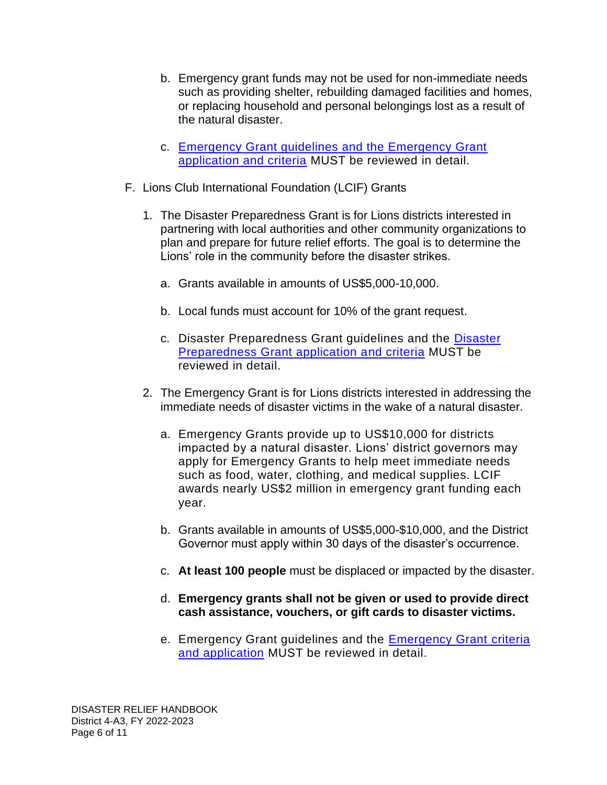- b. Emergency grant funds may not be used for non-immediate needs such as providing shelter, rebuilding damaged facilities and homes, or replacing household and personal belongings lost as a result of the natural disaster.
- c. [Emergency Grant guidelines and the Emergency Grant](https://californialionsfoundation.org/emergency-grants)  [application and criteria](https://californialionsfoundation.org/emergency-grants) MUST be reviewed in detail.
- F. Lions Club International Foundation (LCIF) Grants
	- 1. The Disaster Preparedness Grant is for Lions districts interested in partnering with local authorities and other community organizations to plan and prepare for future relief efforts. The goal is to determine the Lions' role in the community before the disaster strikes.
		- a. Grants available in amounts of US\$5,000-10,000.
		- b. Local funds must account for 10% of the grant request.
		- c. Disaster Preparedness Grant guidelines and the [Disaster](https://cdn2.webdamdb.com/md_wRjakW3t8w31.jpg.pdf?v=1)  [Preparedness Grant application and criteria](https://cdn2.webdamdb.com/md_wRjakW3t8w31.jpg.pdf?v=1) MUST be reviewed in detail.
	- 2. The Emergency Grant is for Lions districts interested in addressing the immediate needs of disaster victims in the wake of a natural disaster.
		- a. Emergency Grants provide up to US\$10,000 for districts impacted by a natural disaster. Lions' district governors may apply for Emergency Grants to help meet immediate needs such as food, water, clothing, and medical supplies. LCIF awards nearly US\$2 million in emergency grant funding each year.
		- b. Grants available in amounts of US\$5,000-\$10,000, and the District Governor must apply within 30 days of the disaster's occurrence.
		- c. **At least 100 people** must be displaced or impacted by the disaster.
		- d. **Emergency grants shall not be given or used to provide direct cash assistance, vouchers, or gift cards to disaster victims.**
		- e. Emergency Grant guidelines and the [Emergency Grant criteria](https://cdn2.webdamdb.com/md_I8MDDEcLlSJ3.jpg.pdf?v=1)  [and application](https://cdn2.webdamdb.com/md_I8MDDEcLlSJ3.jpg.pdf?v=1) MUST be reviewed in detail.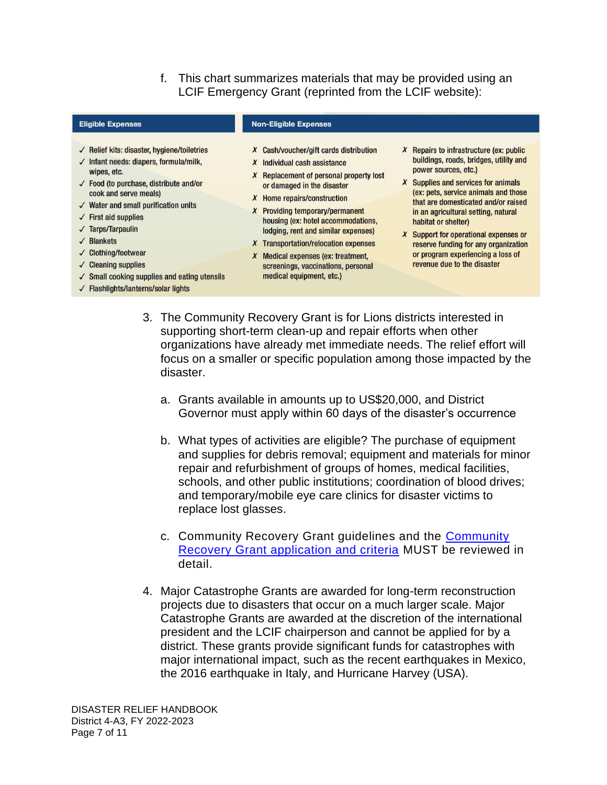f. This chart summarizes materials that may be provided using an LCIF Emergency Grant (reprinted from the LCIF website):

| <b>Eligible Expenses</b>                                                                                                                                                                                                                                                                                                                                                                                                                                                                            | <b>Non-Eligible Expenses</b>                                                                                                                                                                                                                                                                                                                                                                                                                                                     |                                                                                                                                                                                                                                                                                                                                                                                                                                                                   |
|-----------------------------------------------------------------------------------------------------------------------------------------------------------------------------------------------------------------------------------------------------------------------------------------------------------------------------------------------------------------------------------------------------------------------------------------------------------------------------------------------------|----------------------------------------------------------------------------------------------------------------------------------------------------------------------------------------------------------------------------------------------------------------------------------------------------------------------------------------------------------------------------------------------------------------------------------------------------------------------------------|-------------------------------------------------------------------------------------------------------------------------------------------------------------------------------------------------------------------------------------------------------------------------------------------------------------------------------------------------------------------------------------------------------------------------------------------------------------------|
| $\sqrt{\phantom{a}}$ Relief kits: disaster, hygiene/toiletries<br>$\checkmark$ Infant needs: diapers, formula/milk,<br>wipes, etc.<br>$\checkmark$ Food (to purchase, distribute and/or<br>cook and serve meals)<br>$\checkmark$ Water and small purification units<br>$\checkmark$ First aid supplies<br>$\sqrt{\phantom{a}}$ Tarps/Tarpaulin<br>$\sqrt{\phantom{a}}$ Blankets<br>✓ Clothing/footwear<br>$\checkmark$ Cleaning supplies<br>$\checkmark$ Small cooking supplies and eating utensils | $X$ Cash/voucher/gift cards distribution<br>Individual cash assistance<br>x<br>Replacement of personal property lost<br>x<br>or damaged in the disaster<br>Home repairs/construction<br>X<br><b>Providing temporary/permanent</b><br>x<br>housing (ex: hotel accommodations,<br>lodging, rent and similar expenses)<br><b>Transportation/relocation expenses</b><br>X<br>Medical expenses (ex: treatment,<br>X<br>screenings, vaccinations, personal<br>medical equipment, etc.) | $X$ Repairs to infrastructure (ex: public<br>buildings, roads, bridges, utility and<br>power sources, etc.)<br><b>Supplies and services for animals</b><br>x<br>(ex: pets, service animals and those<br>that are domesticated and/or raised<br>in an agricultural setting, natural<br>habitat or shelter)<br>Support for operational expenses or<br>x<br>reserve funding for any organization<br>or program experiencing a loss of<br>revenue due to the disaster |
| $\sqrt{\phantom{a}}$ Flashlights/lanterns/solar lights                                                                                                                                                                                                                                                                                                                                                                                                                                              |                                                                                                                                                                                                                                                                                                                                                                                                                                                                                  |                                                                                                                                                                                                                                                                                                                                                                                                                                                                   |

- 3. The Community Recovery Grant is for Lions districts interested in supporting short-term clean-up and repair efforts when other organizations have already met immediate needs. The relief effort will focus on a smaller or specific population among those impacted by the disaster.
	- a. Grants available in amounts up to US\$20,000, and District Governor must apply within 60 days of the disaster's occurrence
	- b. What types of activities are eligible? The purchase of equipment and supplies for debris removal; equipment and materials for minor repair and refurbishment of groups of homes, medical facilities, schools, and other public institutions; coordination of blood drives; and temporary/mobile eye care clinics for disaster victims to replace lost glasses.
	- c. Community Recovery Grant guidelines and the [Community](https://cdn2.webdamdb.com/md_YlaGqCGQ9k95.jpg.pdf?v=1)  [Recovery Grant application and criteria](https://cdn2.webdamdb.com/md_YlaGqCGQ9k95.jpg.pdf?v=1) MUST be reviewed in detail.
- 4. Major Catastrophe Grants are awarded for long-term reconstruction projects due to disasters that occur on a much larger scale. Major Catastrophe Grants are awarded at the discretion of the international president and the LCIF chairperson and cannot be applied for by a district. These grants provide significant funds for catastrophes with major international impact, such as the recent earthquakes in Mexico, the 2016 earthquake in Italy, and Hurricane Harvey (USA).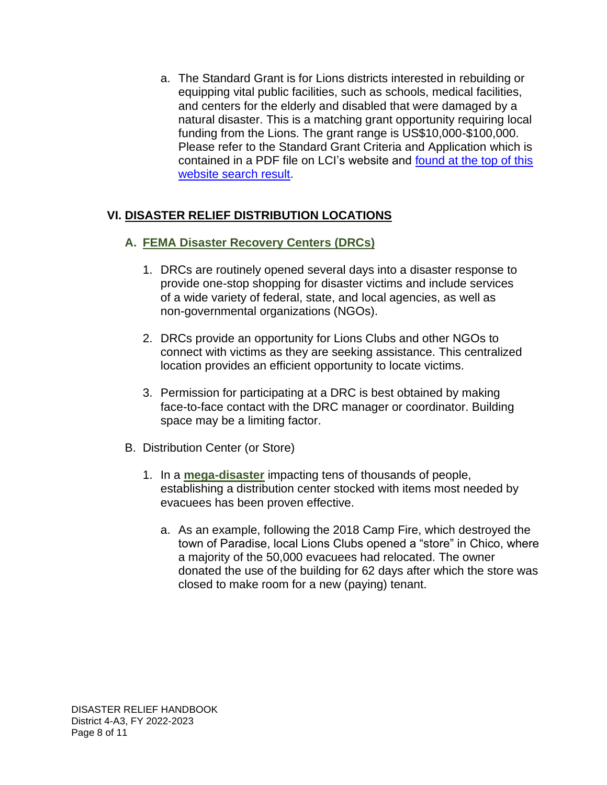a. The Standard Grant is for Lions districts interested in rebuilding or equipping vital public facilities, such as schools, medical facilities, and centers for the elderly and disabled that were damaged by a natural disaster. This is a matching grant opportunity requiring local funding from the Lions. The grant range is US\$10,000-\$100,000. Please refer to the Standard Grant Criteria and Application which is contained in a PDF file on LCI's website and [found at the top of this](https://www.lionsclubs.org/en/search-results?keys=Standard+Grant+Criteria+and+Application) [website search result.](https://www.lionsclubs.org/en/search-results?keys=Standard+Grant+Criteria+and+Application)

## **VI. DISASTER RELIEF DISTRIBUTION LOCATIONS**

## **A. [FEMA Disaster Recovery Centers](#page-9-3) (DRCs)**

- 1. DRCs are routinely opened several days into a disaster response to provide one-stop shopping for disaster victims and include services of a wide variety of federal, state, and local agencies, as well as non-governmental organizations (NGOs).
- 2. DRCs provide an opportunity for Lions Clubs and other NGOs to connect with victims as they are seeking assistance. This centralized location provides an efficient opportunity to locate victims.
- 3. Permission for participating at a DRC is best obtained by making face-to-face contact with the DRC manager or coordinator. Building space may be a limiting factor.
- B. Distribution Center (or Store)
	- 1. In a **[mega-disaster](#page-9-4)** impacting tens of thousands of people, establishing a distribution center stocked with items most needed by evacuees has been proven effective.
		- a. As an example, following the 2018 Camp Fire, which destroyed the town of Paradise, local Lions Clubs opened a "store" in Chico, where a majority of the 50,000 evacuees had relocated. The owner donated the use of the building for 62 days after which the store was closed to make room for a new (paying) tenant.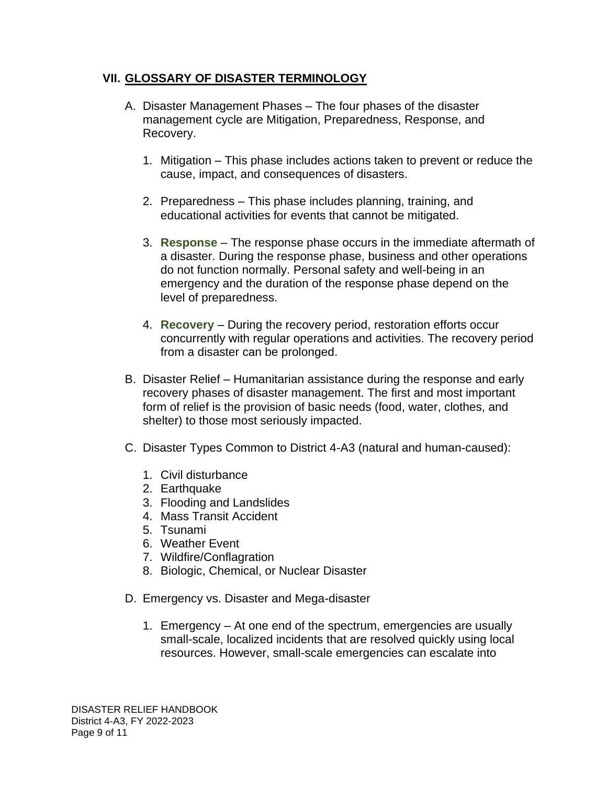#### **VII. GLOSSARY OF DISASTER TERMINOLOGY**

- <span id="page-8-0"></span>A. Disaster Management Phases – The four phases of the disaster management cycle are Mitigation, Preparedness, Response, and Recovery.
	- 1. Mitigation This phase includes actions taken to prevent or reduce the cause, impact, and consequences of disasters.
	- 2. Preparedness This phase includes planning, training, and educational activities for events that cannot be mitigated.
	- 3. **Response** The response phase occurs in the immediate aftermath of a disaster. During the response phase, business and other operations do not function normally. Personal safety and well-being in an emergency and the duration of the response phase depend on the level of preparedness.
	- 4. **Recovery** During the recovery period, restoration efforts occur concurrently with regular operations and activities. The recovery period from a disaster can be prolonged.
- <span id="page-8-1"></span>B. Disaster Relief – Humanitarian assistance during the response and early recovery phases of disaster management. The first and most important form of relief is the provision of basic needs (food, water, clothes, and shelter) to those most seriously impacted.
- C. Disaster Types Common to District 4-A3 (natural and human-caused):
	- 1. Civil disturbance
	- 2. Earthquake
	- 3. Flooding and Landslides
	- 4. Mass Transit Accident
	- 5. Tsunami
	- 6. Weather Event
	- 7. Wildfire/Conflagration
	- 8. Biologic, Chemical, or Nuclear Disaster
- D. Emergency vs. Disaster and Mega-disaster
	- 1. Emergency At one end of the spectrum, emergencies are usually small-scale, localized incidents that are resolved quickly using local resources. However, small-scale emergencies can escalate into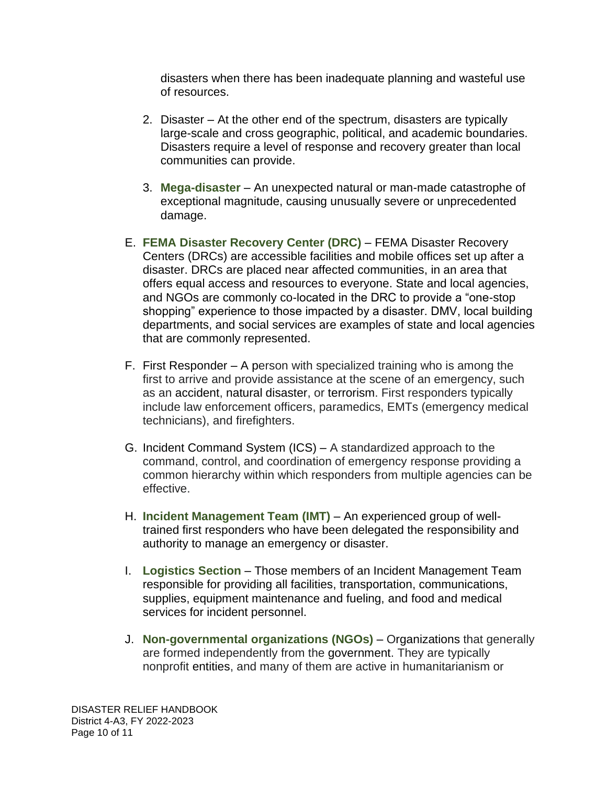disasters when there has been inadequate planning and wasteful use of resources.

- 2. Disaster At the other end of the spectrum, disasters are typically large-scale and cross geographic, political, and academic boundaries. Disasters require a level of response and recovery greater than local communities can provide.
- <span id="page-9-4"></span><span id="page-9-3"></span>3. **Mega-disaster** – An unexpected natural or man-made catastrophe of exceptional magnitude, causing unusually severe or unprecedented damage.
- E. **FEMA Disaster Recovery Center (DRC)**  FEMA Disaster Recovery Centers (DRCs) are accessible facilities and mobile offices set up after a disaster. DRCs are placed near affected communities, in an area that offers equal access and resources to everyone. State and local agencies, and NGOs are commonly co-located in the DRC to provide a "one-stop shopping" experience to those impacted by a disaster. DMV, local building departments, and social services are examples of state and local agencies that are commonly represented.
- F. First Responder A person with specialized training who is among the first to arrive and provide assistance at the scene of an emergency, such as an accident, natural disaster, or terrorism. First responders typically include law enforcement officers, paramedics, EMTs (emergency medical technicians), and firefighters.
- G. Incident Command System (ICS) A standardized approach to the command, control, and coordination of emergency response providing a common hierarchy within which responders from multiple agencies can be effective.
- <span id="page-9-2"></span>H. **Incident Management Team (IMT)** – An experienced group of welltrained first responders who have been delegated the responsibility and authority to manage an emergency or disaster.
- <span id="page-9-0"></span>I. **Logistics Section** – Those members of an Incident Management Team responsible for providing all facilities, transportation, communications, supplies, equipment maintenance and fueling, and food and medical services for incident personnel.
- <span id="page-9-1"></span>J. **Non-governmental organizations (NGOs)** – Organizations that generally are formed independently from the government. They are typically nonprofit entities, and many of them are active in humanitarianism or